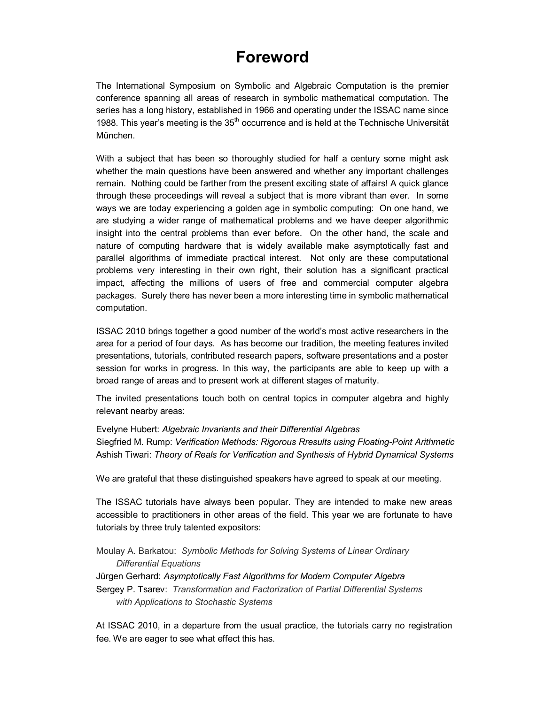## **Foreword**

The International Symposium on Symbolic and Algebraic Computation is the premier conference spanning all areas of research in symbolic mathematical computation. The series has a long history, established in 1966 and operating under the ISSAC name since 1988. This year's meeting is the  $35<sup>th</sup>$  occurrence and is held at the Technische Universität München.

With a subject that has been so thoroughly studied for half a century some might ask whether the main questions have been answered and whether any important challenges remain. Nothing could be farther from the present exciting state of affairs! A quick glance through these proceedings will reveal a subject that is more vibrant than ever. In some ways we are today experiencing a golden age in symbolic computing: On one hand, we are studying a wider range of mathematical problems and we have deeper algorithmic insight into the central problems than ever before. On the other hand, the scale and nature of computing hardware that is widely available make asymptotically fast and parallel algorithms of immediate practical interest. Not only are these computational problems very interesting in their own right, their solution has a significant practical impact, affecting the millions of users of free and commercial computer algebra packages. Surely there has never been a more interesting time in symbolic mathematical computation.

ISSAC 2010 brings together a good number of the world's most active researchers in the area for a period of four days. As has become our tradition, the meeting features invited presentations, tutorials, contributed research papers, software presentations and a poster session for works in progress. In this way, the participants are able to keep up with a broad range of areas and to present work at different stages of maturity.

The invited presentations touch both on central topics in computer algebra and highly relevant nearby areas:

[Evelyne Hubert:](http://www-sop.inria.fr/members/Evelyne.Hubert/) *Algebraic Invariants and their Differential Algebras* [Siegfried M. Rump:](http://www.ti3.tu-harburg.de/rump/) *Verification Methods: Rigorous Rresults using Floating-Point Arithmetic* [Ashish Tiwari:](http://www.csl.sri.com/people/tiwari/) *Theory of Reals for Verification and Synthesis of Hybrid Dynamical Systems*

We are grateful that these distinguished speakers have agreed to speak at our meeting.

The ISSAC tutorials have always been popular. They are intended to make new areas accessible to practitioners in other areas of the field. This year we are fortunate to have tutorials by three truly talented expositors:

Moulay A. Barkatou: *Symbolic Methods for Solving Systems of Linear Ordinary Differential Equations*

[Jürgen Gerhard:](http://www.juergen-gerhard.net/) *Asymptotically Fast Algorithms for Modern Computer Algebra* [Sergey P. Tsarev:](http://ikit.institute.sfu-kras.ru/TSarev_en) *Transformation and Factorization of Partial Differential Systems with Applications to Stochastic Systems*

At ISSAC 2010, in a departure from the usual practice, the tutorials carry no registration fee. We are eager to see what effect this has.